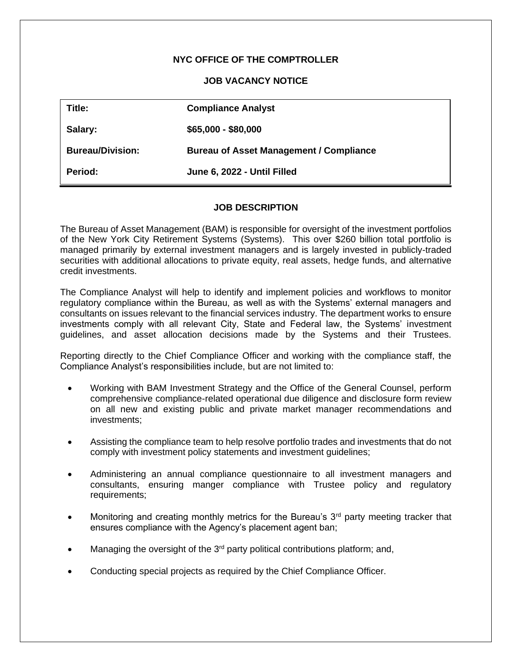# **NYC OFFICE OF THE COMPTROLLER**

## **JOB VACANCY NOTICE**

| Title:                  | <b>Compliance Analyst</b>                      |
|-------------------------|------------------------------------------------|
| Salary:                 | $$65,000 - $80,000$                            |
| <b>Bureau/Division:</b> | <b>Bureau of Asset Management / Compliance</b> |
| <b>Period:</b>          | June 6, 2022 - Until Filled                    |

#### **JOB DESCRIPTION**

The Bureau of Asset Management (BAM) is responsible for oversight of the investment portfolios of the New York City Retirement Systems (Systems). This over \$260 billion total portfolio is managed primarily by external investment managers and is largely invested in publicly-traded securities with additional allocations to private equity, real assets, hedge funds, and alternative credit investments.

The Compliance Analyst will help to identify and implement policies and workflows to monitor regulatory compliance within the Bureau, as well as with the Systems' external managers and consultants on issues relevant to the financial services industry. The department works to ensure investments comply with all relevant City, State and Federal law, the Systems' investment guidelines, and asset allocation decisions made by the Systems and their Trustees.

Reporting directly to the Chief Compliance Officer and working with the compliance staff, the Compliance Analyst's responsibilities include, but are not limited to:

- Working with BAM Investment Strategy and the Office of the General Counsel, perform comprehensive compliance-related operational due diligence and disclosure form review on all new and existing public and private market manager recommendations and investments;
- Assisting the compliance team to help resolve portfolio trades and investments that do not comply with investment policy statements and investment guidelines;
- Administering an annual compliance questionnaire to all investment managers and consultants, ensuring manger compliance with Trustee policy and regulatory requirements;
- Monitoring and creating monthly metrics for the Bureau's  $3<sup>rd</sup>$  party meeting tracker that ensures compliance with the Agency's placement agent ban;
- Managing the oversight of the  $3<sup>rd</sup>$  party political contributions platform; and,
- Conducting special projects as required by the Chief Compliance Officer.